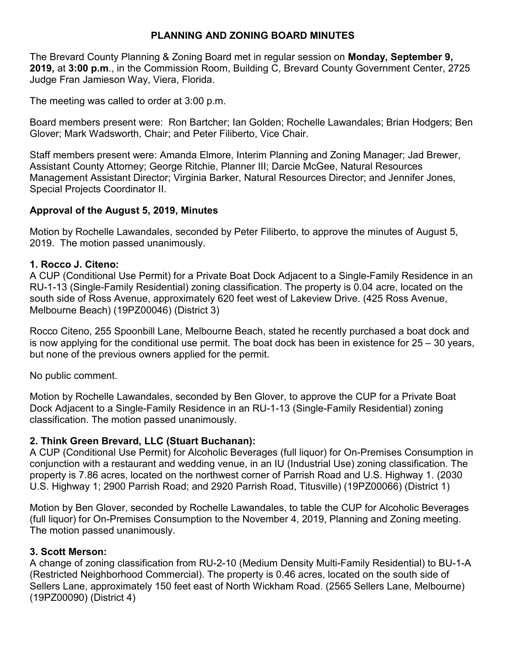## **PLANNING AND ZONING BOARD MINUTES**

The Brevard County Planning & Zoning Board met in regular session on **Monday, September 9, 2019,** at **3:00 p.m**., in the Commission Room, Building C, Brevard County Government Center, 2725 Judge Fran Jamieson Way, Viera, Florida.

The meeting was called to order at 3:00 p.m.

Board members present were: Ron Bartcher; Ian Golden; Rochelle Lawandales; Brian Hodgers; Ben Glover; Mark Wadsworth, Chair; and Peter Filiberto, Vice Chair.

Staff members present were: Amanda Elmore, Interim Planning and Zoning Manager; Jad Brewer, Assistant County Attorney; George Ritchie, Planner III; Darcie McGee, Natural Resources Management Assistant Director; Virginia Barker, Natural Resources Director; and Jennifer Jones, Special Projects Coordinator II.

# **Approval of the August 5, 2019, Minutes**

Motion by Rochelle Lawandales, seconded by Peter Filiberto, to approve the minutes of August 5, 2019. The motion passed unanimously.

## **1. Rocco J. Citeno:**

A CUP (Conditional Use Permit) for a Private Boat Dock Adjacent to a Single-Family Residence in an RU-1-13 (Single-Family Residential) zoning classification. The property is 0.04 acre, located on the south side of Ross Avenue, approximately 620 feet west of Lakeview Drive. (425 Ross Avenue, Melbourne Beach) (19PZ00046) (District 3)

Rocco Citeno, 255 Spoonbill Lane, Melbourne Beach, stated he recently purchased a boat dock and is now applying for the conditional use permit. The boat dock has been in existence for  $25 - 30$  years, but none of the previous owners applied for the permit.

No public comment.

Motion by Rochelle Lawandales, seconded by Ben Glover, to approve the CUP for a Private Boat Dock Adjacent to a Single-Family Residence in an RU-1-13 (Single-Family Residential) zoning classification. The motion passed unanimously.

## **2. Think Green Brevard, LLC (Stuart Buchanan):**

A CUP (Conditional Use Permit) for Alcoholic Beverages (full liquor) for On-Premises Consumption in conjunction with a restaurant and wedding venue, in an IU (Industrial Use) zoning classification. The property is 7.86 acres, located on the northwest corner of Parrish Road and U.S. Highway 1. (2030 U.S. Highway 1; 2900 Parrish Road; and 2920 Parrish Road, Titusville) (19PZ00066) (District 1)

Motion by Ben Glover, seconded by Rochelle Lawandales, to table the CUP for Alcoholic Beverages (full liquor) for On-Premises Consumption to the November 4, 2019, Planning and Zoning meeting. The motion passed unanimously.

## **3. Scott Merson:**

A change of zoning classification from RU-2-10 (Medium Density Multi-Family Residential) to BU-1-A (Restricted Neighborhood Commercial). The property is 0.46 acres, located on the south side of Sellers Lane, approximately 150 feet east of North Wickham Road. (2565 Sellers Lane, Melbourne) (19PZ00090) (District 4)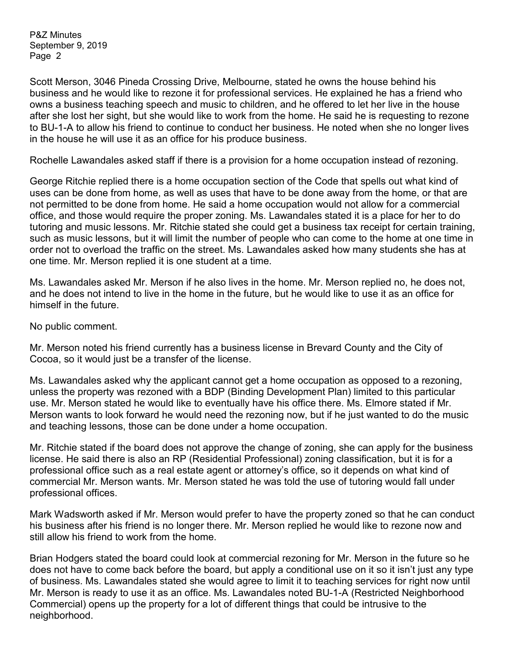Scott Merson, 3046 Pineda Crossing Drive, Melbourne, stated he owns the house behind his business and he would like to rezone it for professional services. He explained he has a friend who owns a business teaching speech and music to children, and he offered to let her live in the house after she lost her sight, but she would like to work from the home. He said he is requesting to rezone to BU-1-A to allow his friend to continue to conduct her business. He noted when she no longer lives in the house he will use it as an office for his produce business.

Rochelle Lawandales asked staff if there is a provision for a home occupation instead of rezoning.

George Ritchie replied there is a home occupation section of the Code that spells out what kind of uses can be done from home, as well as uses that have to be done away from the home, or that are not permitted to be done from home. He said a home occupation would not allow for a commercial office, and those would require the proper zoning. Ms. Lawandales stated it is a place for her to do tutoring and music lessons. Mr. Ritchie stated she could get a business tax receipt for certain training, such as music lessons, but it will limit the number of people who can come to the home at one time in order not to overload the traffic on the street. Ms. Lawandales asked how many students she has at one time. Mr. Merson replied it is one student at a time.

Ms. Lawandales asked Mr. Merson if he also lives in the home. Mr. Merson replied no, he does not, and he does not intend to live in the home in the future, but he would like to use it as an office for himself in the future.

No public comment.

Mr. Merson noted his friend currently has a business license in Brevard County and the City of Cocoa, so it would just be a transfer of the license.

Ms. Lawandales asked why the applicant cannot get a home occupation as opposed to a rezoning, unless the property was rezoned with a BDP (Binding Development Plan) limited to this particular use. Mr. Merson stated he would like to eventually have his office there. Ms. Elmore stated if Mr. Merson wants to look forward he would need the rezoning now, but if he just wanted to do the music and teaching lessons, those can be done under a home occupation.

Mr. Ritchie stated if the board does not approve the change of zoning, she can apply for the business license. He said there is also an RP (Residential Professional) zoning classification, but it is for a professional office such as a real estate agent or attorney's office, so it depends on what kind of commercial Mr. Merson wants. Mr. Merson stated he was told the use of tutoring would fall under professional offices.

Mark Wadsworth asked if Mr. Merson would prefer to have the property zoned so that he can conduct his business after his friend is no longer there. Mr. Merson replied he would like to rezone now and still allow his friend to work from the home.

Brian Hodgers stated the board could look at commercial rezoning for Mr. Merson in the future so he does not have to come back before the board, but apply a conditional use on it so it isn't just any type of business. Ms. Lawandales stated she would agree to limit it to teaching services for right now until Mr. Merson is ready to use it as an office. Ms. Lawandales noted BU-1-A (Restricted Neighborhood Commercial) opens up the property for a lot of different things that could be intrusive to the neighborhood.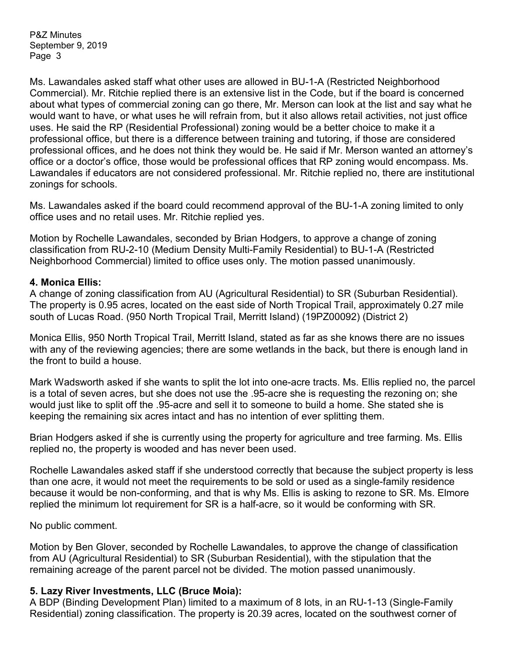Ms. Lawandales asked staff what other uses are allowed in BU-1-A (Restricted Neighborhood Commercial). Mr. Ritchie replied there is an extensive list in the Code, but if the board is concerned about what types of commercial zoning can go there, Mr. Merson can look at the list and say what he would want to have, or what uses he will refrain from, but it also allows retail activities, not just office uses. He said the RP (Residential Professional) zoning would be a better choice to make it a professional office, but there is a difference between training and tutoring, if those are considered professional offices, and he does not think they would be. He said if Mr. Merson wanted an attorney's office or a doctor's office, those would be professional offices that RP zoning would encompass. Ms. Lawandales if educators are not considered professional. Mr. Ritchie replied no, there are institutional zonings for schools.

Ms. Lawandales asked if the board could recommend approval of the BU-1-A zoning limited to only office uses and no retail uses. Mr. Ritchie replied yes.

Motion by Rochelle Lawandales, seconded by Brian Hodgers, to approve a change of zoning classification from RU-2-10 (Medium Density Multi-Family Residential) to BU-1-A (Restricted Neighborhood Commercial) limited to office uses only. The motion passed unanimously.

#### **4. Monica Ellis:**

A change of zoning classification from AU (Agricultural Residential) to SR (Suburban Residential). The property is 0.95 acres, located on the east side of North Tropical Trail, approximately 0.27 mile south of Lucas Road. (950 North Tropical Trail, Merritt Island) (19PZ00092) (District 2)

Monica Ellis, 950 North Tropical Trail, Merritt Island, stated as far as she knows there are no issues with any of the reviewing agencies; there are some wetlands in the back, but there is enough land in the front to build a house.

Mark Wadsworth asked if she wants to split the lot into one-acre tracts. Ms. Ellis replied no, the parcel is a total of seven acres, but she does not use the .95-acre she is requesting the rezoning on; she would just like to split off the .95-acre and sell it to someone to build a home. She stated she is keeping the remaining six acres intact and has no intention of ever splitting them.

Brian Hodgers asked if she is currently using the property for agriculture and tree farming. Ms. Ellis replied no, the property is wooded and has never been used.

Rochelle Lawandales asked staff if she understood correctly that because the subject property is less than one acre, it would not meet the requirements to be sold or used as a single-family residence because it would be non-conforming, and that is why Ms. Ellis is asking to rezone to SR. Ms. Elmore replied the minimum lot requirement for SR is a half-acre, so it would be conforming with SR.

No public comment.

Motion by Ben Glover, seconded by Rochelle Lawandales, to approve the change of classification from AU (Agricultural Residential) to SR (Suburban Residential), with the stipulation that the remaining acreage of the parent parcel not be divided. The motion passed unanimously.

## **5. Lazy River Investments, LLC (Bruce Moia):**

A BDP (Binding Development Plan) limited to a maximum of 8 lots, in an RU-1-13 (Single-Family Residential) zoning classification. The property is 20.39 acres, located on the southwest corner of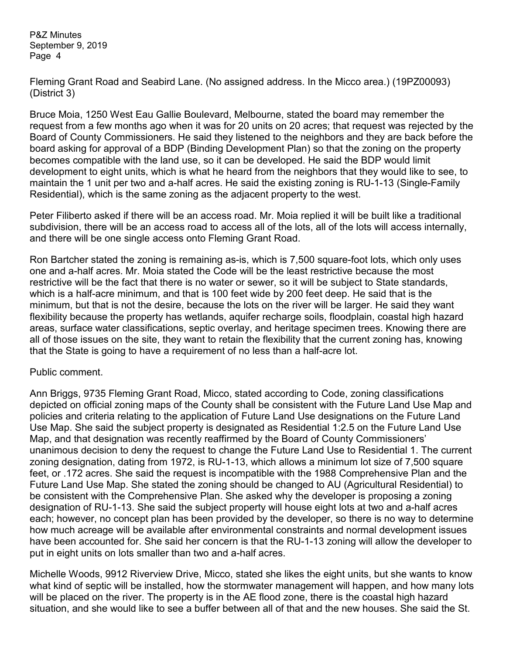Fleming Grant Road and Seabird Lane. (No assigned address. In the Micco area.) (19PZ00093) (District 3)

Bruce Moia, 1250 West Eau Gallie Boulevard, Melbourne, stated the board may remember the request from a few months ago when it was for 20 units on 20 acres; that request was rejected by the Board of County Commissioners. He said they listened to the neighbors and they are back before the board asking for approval of a BDP (Binding Development Plan) so that the zoning on the property becomes compatible with the land use, so it can be developed. He said the BDP would limit development to eight units, which is what he heard from the neighbors that they would like to see, to maintain the 1 unit per two and a-half acres. He said the existing zoning is RU-1-13 (Single-Family Residential), which is the same zoning as the adjacent property to the west.

Peter Filiberto asked if there will be an access road. Mr. Moia replied it will be built like a traditional subdivision, there will be an access road to access all of the lots, all of the lots will access internally, and there will be one single access onto Fleming Grant Road.

Ron Bartcher stated the zoning is remaining as-is, which is 7,500 square-foot lots, which only uses one and a-half acres. Mr. Moia stated the Code will be the least restrictive because the most restrictive will be the fact that there is no water or sewer, so it will be subject to State standards, which is a half-acre minimum, and that is 100 feet wide by 200 feet deep. He said that is the minimum, but that is not the desire, because the lots on the river will be larger. He said they want flexibility because the property has wetlands, aquifer recharge soils, floodplain, coastal high hazard areas, surface water classifications, septic overlay, and heritage specimen trees. Knowing there are all of those issues on the site, they want to retain the flexibility that the current zoning has, knowing that the State is going to have a requirement of no less than a half-acre lot.

#### Public comment.

Ann Briggs, 9735 Fleming Grant Road, Micco, stated according to Code, zoning classifications depicted on official zoning maps of the County shall be consistent with the Future Land Use Map and policies and criteria relating to the application of Future Land Use designations on the Future Land Use Map. She said the subject property is designated as Residential 1:2.5 on the Future Land Use Map, and that designation was recently reaffirmed by the Board of County Commissioners' unanimous decision to deny the request to change the Future Land Use to Residential 1. The current zoning designation, dating from 1972, is RU-1-13, which allows a minimum lot size of 7,500 square feet, or .172 acres. She said the request is incompatible with the 1988 Comprehensive Plan and the Future Land Use Map. She stated the zoning should be changed to AU (Agricultural Residential) to be consistent with the Comprehensive Plan. She asked why the developer is proposing a zoning designation of RU-1-13. She said the subject property will house eight lots at two and a-half acres each; however, no concept plan has been provided by the developer, so there is no way to determine how much acreage will be available after environmental constraints and normal development issues have been accounted for. She said her concern is that the RU-1-13 zoning will allow the developer to put in eight units on lots smaller than two and a-half acres.

Michelle Woods, 9912 Riverview Drive, Micco, stated she likes the eight units, but she wants to know what kind of septic will be installed, how the stormwater management will happen, and how many lots will be placed on the river. The property is in the AE flood zone, there is the coastal high hazard situation, and she would like to see a buffer between all of that and the new houses. She said the St.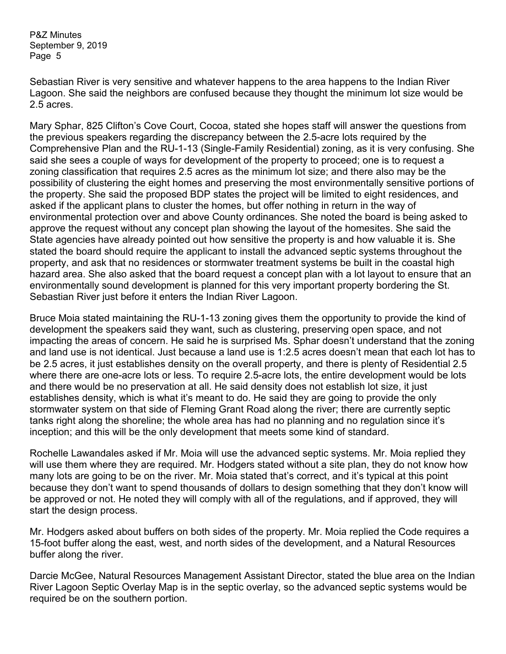Sebastian River is very sensitive and whatever happens to the area happens to the Indian River Lagoon. She said the neighbors are confused because they thought the minimum lot size would be 2.5 acres.

Mary Sphar, 825 Clifton's Cove Court, Cocoa, stated she hopes staff will answer the questions from the previous speakers regarding the discrepancy between the 2.5-acre lots required by the Comprehensive Plan and the RU-1-13 (Single-Family Residential) zoning, as it is very confusing. She said she sees a couple of ways for development of the property to proceed; one is to request a zoning classification that requires 2.5 acres as the minimum lot size; and there also may be the possibility of clustering the eight homes and preserving the most environmentally sensitive portions of the property. She said the proposed BDP states the project will be limited to eight residences, and asked if the applicant plans to cluster the homes, but offer nothing in return in the way of environmental protection over and above County ordinances. She noted the board is being asked to approve the request without any concept plan showing the layout of the homesites. She said the State agencies have already pointed out how sensitive the property is and how valuable it is. She stated the board should require the applicant to install the advanced septic systems throughout the property, and ask that no residences or stormwater treatment systems be built in the coastal high hazard area. She also asked that the board request a concept plan with a lot layout to ensure that an environmentally sound development is planned for this very important property bordering the St. Sebastian River just before it enters the Indian River Lagoon.

Bruce Moia stated maintaining the RU-1-13 zoning gives them the opportunity to provide the kind of development the speakers said they want, such as clustering, preserving open space, and not impacting the areas of concern. He said he is surprised Ms. Sphar doesn't understand that the zoning and land use is not identical. Just because a land use is 1:2.5 acres doesn't mean that each lot has to be 2.5 acres, it just establishes density on the overall property, and there is plenty of Residential 2.5 where there are one-acre lots or less. To require 2.5-acre lots, the entire development would be lots and there would be no preservation at all. He said density does not establish lot size, it just establishes density, which is what it's meant to do. He said they are going to provide the only stormwater system on that side of Fleming Grant Road along the river; there are currently septic tanks right along the shoreline; the whole area has had no planning and no regulation since it's inception; and this will be the only development that meets some kind of standard.

Rochelle Lawandales asked if Mr. Moia will use the advanced septic systems. Mr. Moia replied they will use them where they are required. Mr. Hodgers stated without a site plan, they do not know how many lots are going to be on the river. Mr. Moia stated that's correct, and it's typical at this point because they don't want to spend thousands of dollars to design something that they don't know will be approved or not. He noted they will comply with all of the regulations, and if approved, they will start the design process.

Mr. Hodgers asked about buffers on both sides of the property. Mr. Moia replied the Code requires a 15-foot buffer along the east, west, and north sides of the development, and a Natural Resources buffer along the river.

Darcie McGee, Natural Resources Management Assistant Director, stated the blue area on the Indian River Lagoon Septic Overlay Map is in the septic overlay, so the advanced septic systems would be required be on the southern portion.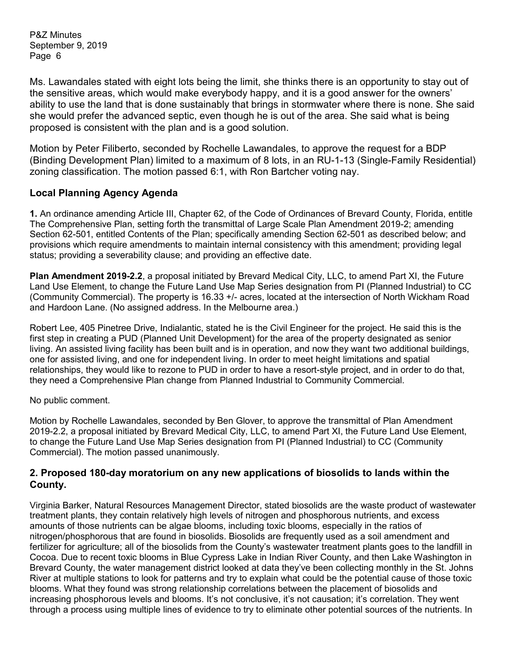Ms. Lawandales stated with eight lots being the limit, she thinks there is an opportunity to stay out of the sensitive areas, which would make everybody happy, and it is a good answer for the owners' ability to use the land that is done sustainably that brings in stormwater where there is none. She said she would prefer the advanced septic, even though he is out of the area. She said what is being proposed is consistent with the plan and is a good solution.

Motion by Peter Filiberto, seconded by Rochelle Lawandales, to approve the request for a BDP (Binding Development Plan) limited to a maximum of 8 lots, in an RU-1-13 (Single-Family Residential) zoning classification. The motion passed 6:1, with Ron Bartcher voting nay.

## **Local Planning Agency Agenda**

**1.** An ordinance amending Article III, Chapter 62, of the Code of Ordinances of Brevard County, Florida, entitle The Comprehensive Plan, setting forth the transmittal of Large Scale Plan Amendment 2019-2; amending Section 62-501, entitled Contents of the Plan; specifically amending Section 62-501 as described below; and provisions which require amendments to maintain internal consistency with this amendment; providing legal status; providing a severability clause; and providing an effective date.

**Plan Amendment 2019-2.2**, a proposal initiated by Brevard Medical City, LLC, to amend Part XI, the Future Land Use Element, to change the Future Land Use Map Series designation from PI (Planned Industrial) to CC (Community Commercial). The property is 16.33 +/- acres, located at the intersection of North Wickham Road and Hardoon Lane. (No assigned address. In the Melbourne area.)

Robert Lee, 405 Pinetree Drive, Indialantic, stated he is the Civil Engineer for the project. He said this is the first step in creating a PUD (Planned Unit Development) for the area of the property designated as senior living. An assisted living facility has been built and is in operation, and now they want two additional buildings, one for assisted living, and one for independent living. In order to meet height limitations and spatial relationships, they would like to rezone to PUD in order to have a resort-style project, and in order to do that, they need a Comprehensive Plan change from Planned Industrial to Community Commercial.

No public comment.

Motion by Rochelle Lawandales, seconded by Ben Glover, to approve the transmittal of Plan Amendment 2019-2.2, a proposal initiated by Brevard Medical City, LLC, to amend Part XI, the Future Land Use Element, to change the Future Land Use Map Series designation from PI (Planned Industrial) to CC (Community Commercial). The motion passed unanimously.

#### **2. Proposed 180-day moratorium on any new applications of biosolids to lands within the County.**

Virginia Barker, Natural Resources Management Director, stated biosolids are the waste product of wastewater treatment plants, they contain relatively high levels of nitrogen and phosphorous nutrients, and excess amounts of those nutrients can be algae blooms, including toxic blooms, especially in the ratios of nitrogen/phosphorous that are found in biosolids. Biosolids are frequently used as a soil amendment and fertilizer for agriculture; all of the biosolids from the County's wastewater treatment plants goes to the landfill in Cocoa. Due to recent toxic blooms in Blue Cypress Lake in Indian River County, and then Lake Washington in Brevard County, the water management district looked at data they've been collecting monthly in the St. Johns River at multiple stations to look for patterns and try to explain what could be the potential cause of those toxic blooms. What they found was strong relationship correlations between the placement of biosolids and increasing phosphorous levels and blooms. It's not conclusive, it's not causation; it's correlation. They went through a process using multiple lines of evidence to try to eliminate other potential sources of the nutrients. In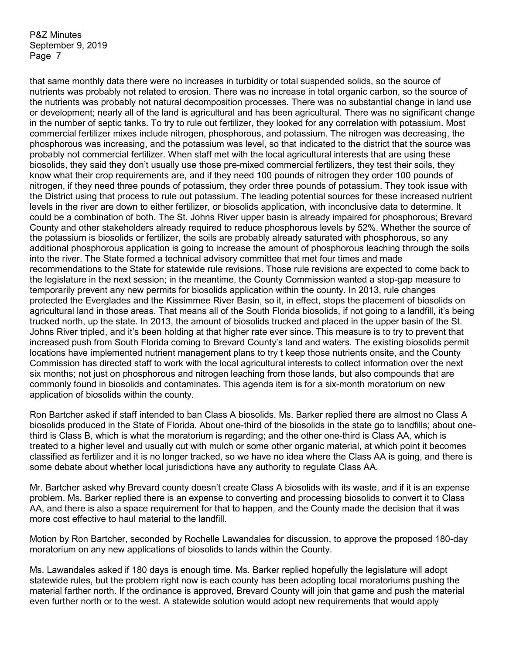that same monthly data there were no increases in turbidity or total suspended solids, so the source of nutrients was probably not related to erosion. There was no increase in total organic carbon, so the source of the nutrients was probably not natural decomposition processes. There was no substantial change in land use or development; nearly all of the land is agricultural and has been agricultural. There was no significant change in the number of septic tanks. To try to rule out fertilizer, they looked for any correlation with potassium. Most commercial fertilizer mixes include nitrogen, phosphorous, and potassium. The nitrogen was decreasing, the phosphorous was increasing, and the potassium was level, so that indicated to the district that the source was probably not commercial fertilizer. When staff met with the local agricultural interests that are using these biosolids, they said they don't usually use those pre-mixed commercial fertilizers, they test their soils, they know what their crop requirements are, and if they need 100 pounds of nitrogen they order 100 pounds of nitrogen, if they need three pounds of potassium, they order three pounds of potassium. They took issue with the District using that process to rule out potassium. The leading potential sources for these increased nutrient levels in the river are down to either fertilizer, or biosolids application, with inconclusive data to determine. It could be a combination of both. The St. Johns River upper basin is already impaired for phosphorous; Brevard County and other stakeholders already required to reduce phosphorous levels by 52%. Whether the source of the potassium is biosolids or fertilizer, the soils are probably already saturated with phosphorous, so any additional phosphorous application is going to increase the amount of phosphorous leaching through the soils into the river. The State formed a technical advisory committee that met four times and made recommendations to the State for statewide rule revisions. Those rule revisions are expected to come back to the legislature in the next session; in the meantime, the County Commission wanted a stop-gap measure to temporarily prevent any new permits for biosolids application within the county. In 2013, rule changes protected the Everglades and the Kissimmee River Basin, so it, in effect, stops the placement of biosolids on agricultural land in those areas. That means all of the South Florida biosolids, if not going to a landfill, it's being trucked north, up the state. In 2013, the amount of biosolids trucked and placed in the upper basin of the St. Johns River tripled, and it's been holding at that higher rate ever since. This measure is to try to prevent that increased push from South Florida coming to Brevard County's land and waters. The existing biosolids permit locations have implemented nutrient management plans to try t keep those nutrients onsite, and the County Commission has directed staff to work with the local agricultural interests to collect information over the next six months; not just on phosphorous and nitrogen leaching from those lands, but also compounds that are commonly found in biosolids and contaminates. This agenda item is for a six-month moratorium on new application of biosolids within the county.

Ron Bartcher asked if staff intended to ban Class A biosolids. Ms. Barker replied there are almost no Class A biosolids produced in the State of Florida. About one-third of the biosolids in the state go to landfills; about onethird is Class B, which is what the moratorium is regarding; and the other one-third is Class AA, which is treated to a higher level and usually cut with mulch or some other organic material, at which point it becomes classified as fertilizer and it is no longer tracked, so we have no idea where the Class AA is going, and there is some debate about whether local jurisdictions have any authority to regulate Class AA.

Mr. Bartcher asked why Brevard county doesn't create Class A biosolids with its waste, and if it is an expense problem. Ms. Barker replied there is an expense to converting and processing biosolids to convert it to Class AA, and there is also a space requirement for that to happen, and the County made the decision that it was more cost effective to haul material to the landfill.

Motion by Ron Bartcher, seconded by Rochelle Lawandales for discussion, to approve the proposed 180-day moratorium on any new applications of biosolids to lands within the County.

Ms. Lawandales asked if 180 days is enough time. Ms. Barker replied hopefully the legislature will adopt statewide rules, but the problem right now is each county has been adopting local moratoriums pushing the material farther north. If the ordinance is approved, Brevard County will join that game and push the material even further north or to the west. A statewide solution would adopt new requirements that would apply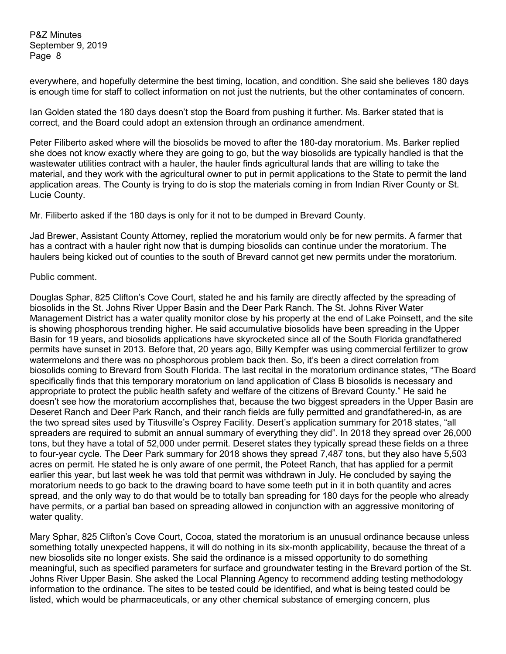everywhere, and hopefully determine the best timing, location, and condition. She said she believes 180 days is enough time for staff to collect information on not just the nutrients, but the other contaminates of concern.

Ian Golden stated the 180 days doesn't stop the Board from pushing it further. Ms. Barker stated that is correct, and the Board could adopt an extension through an ordinance amendment.

Peter Filiberto asked where will the biosolids be moved to after the 180-day moratorium. Ms. Barker replied she does not know exactly where they are going to go, but the way biosolids are typically handled is that the wastewater utilities contract with a hauler, the hauler finds agricultural lands that are willing to take the material, and they work with the agricultural owner to put in permit applications to the State to permit the land application areas. The County is trying to do is stop the materials coming in from Indian River County or St. Lucie County.

Mr. Filiberto asked if the 180 days is only for it not to be dumped in Brevard County.

Jad Brewer, Assistant County Attorney, replied the moratorium would only be for new permits. A farmer that has a contract with a hauler right now that is dumping biosolids can continue under the moratorium. The haulers being kicked out of counties to the south of Brevard cannot get new permits under the moratorium.

#### Public comment.

Douglas Sphar, 825 Clifton's Cove Court, stated he and his family are directly affected by the spreading of biosolids in the St. Johns River Upper Basin and the Deer Park Ranch. The St. Johns River Water Management District has a water quality monitor close by his property at the end of Lake Poinsett, and the site is showing phosphorous trending higher. He said accumulative biosolids have been spreading in the Upper Basin for 19 years, and biosolids applications have skyrocketed since all of the South Florida grandfathered permits have sunset in 2013. Before that, 20 years ago, Billy Kempfer was using commercial fertilizer to grow watermelons and there was no phosphorous problem back then. So, it's been a direct correlation from biosolids coming to Brevard from South Florida. The last recital in the moratorium ordinance states, "The Board specifically finds that this temporary moratorium on land application of Class B biosolids is necessary and appropriate to protect the public health safety and welfare of the citizens of Brevard County." He said he doesn't see how the moratorium accomplishes that, because the two biggest spreaders in the Upper Basin are Deseret Ranch and Deer Park Ranch, and their ranch fields are fully permitted and grandfathered-in, as are the two spread sites used by Titusville's Osprey Facility. Desert's application summary for 2018 states, "all spreaders are required to submit an annual summary of everything they did". In 2018 they spread over 26,000 tons, but they have a total of 52,000 under permit. Deseret states they typically spread these fields on a three to four-year cycle. The Deer Park summary for 2018 shows they spread 7,487 tons, but they also have 5,503 acres on permit. He stated he is only aware of one permit, the Poteet Ranch, that has applied for a permit earlier this year, but last week he was told that permit was withdrawn in July. He concluded by saying the moratorium needs to go back to the drawing board to have some teeth put in it in both quantity and acres spread, and the only way to do that would be to totally ban spreading for 180 days for the people who already have permits, or a partial ban based on spreading allowed in conjunction with an aggressive monitoring of water quality.

Mary Sphar, 825 Clifton's Cove Court, Cocoa, stated the moratorium is an unusual ordinance because unless something totally unexpected happens, it will do nothing in its six-month applicability, because the threat of a new biosolids site no longer exists. She said the ordinance is a missed opportunity to do something meaningful, such as specified parameters for surface and groundwater testing in the Brevard portion of the St. Johns River Upper Basin. She asked the Local Planning Agency to recommend adding testing methodology information to the ordinance. The sites to be tested could be identified, and what is being tested could be listed, which would be pharmaceuticals, or any other chemical substance of emerging concern, plus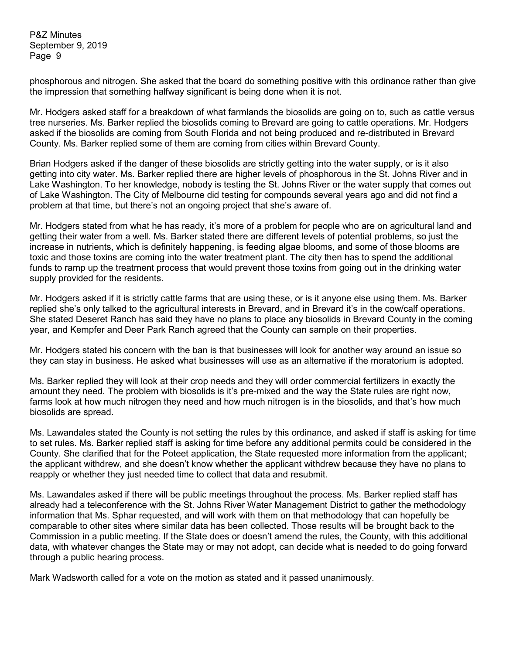phosphorous and nitrogen. She asked that the board do something positive with this ordinance rather than give the impression that something halfway significant is being done when it is not.

Mr. Hodgers asked staff for a breakdown of what farmlands the biosolids are going on to, such as cattle versus tree nurseries. Ms. Barker replied the biosolids coming to Brevard are going to cattle operations. Mr. Hodgers asked if the biosolids are coming from South Florida and not being produced and re-distributed in Brevard County. Ms. Barker replied some of them are coming from cities within Brevard County.

Brian Hodgers asked if the danger of these biosolids are strictly getting into the water supply, or is it also getting into city water. Ms. Barker replied there are higher levels of phosphorous in the St. Johns River and in Lake Washington. To her knowledge, nobody is testing the St. Johns River or the water supply that comes out of Lake Washington. The City of Melbourne did testing for compounds several years ago and did not find a problem at that time, but there's not an ongoing project that she's aware of.

Mr. Hodgers stated from what he has ready, it's more of a problem for people who are on agricultural land and getting their water from a well. Ms. Barker stated there are different levels of potential problems, so just the increase in nutrients, which is definitely happening, is feeding algae blooms, and some of those blooms are toxic and those toxins are coming into the water treatment plant. The city then has to spend the additional funds to ramp up the treatment process that would prevent those toxins from going out in the drinking water supply provided for the residents.

Mr. Hodgers asked if it is strictly cattle farms that are using these, or is it anyone else using them. Ms. Barker replied she's only talked to the agricultural interests in Brevard, and in Brevard it's in the cow/calf operations. She stated Deseret Ranch has said they have no plans to place any biosolids in Brevard County in the coming year, and Kempfer and Deer Park Ranch agreed that the County can sample on their properties.

Mr. Hodgers stated his concern with the ban is that businesses will look for another way around an issue so they can stay in business. He asked what businesses will use as an alternative if the moratorium is adopted.

Ms. Barker replied they will look at their crop needs and they will order commercial fertilizers in exactly the amount they need. The problem with biosolids is it's pre-mixed and the way the State rules are right now, farms look at how much nitrogen they need and how much nitrogen is in the biosolids, and that's how much biosolids are spread.

Ms. Lawandales stated the County is not setting the rules by this ordinance, and asked if staff is asking for time to set rules. Ms. Barker replied staff is asking for time before any additional permits could be considered in the County. She clarified that for the Poteet application, the State requested more information from the applicant; the applicant withdrew, and she doesn't know whether the applicant withdrew because they have no plans to reapply or whether they just needed time to collect that data and resubmit.

Ms. Lawandales asked if there will be public meetings throughout the process. Ms. Barker replied staff has already had a teleconference with the St. Johns River Water Management District to gather the methodology information that Ms. Sphar requested, and will work with them on that methodology that can hopefully be comparable to other sites where similar data has been collected. Those results will be brought back to the Commission in a public meeting. If the State does or doesn't amend the rules, the County, with this additional data, with whatever changes the State may or may not adopt, can decide what is needed to do going forward through a public hearing process.

Mark Wadsworth called for a vote on the motion as stated and it passed unanimously.